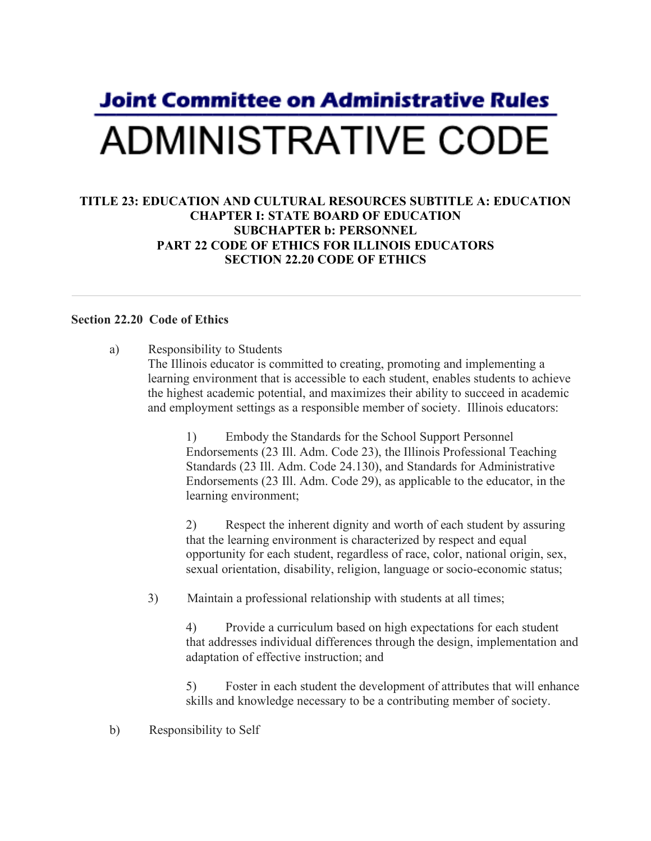## **Joint Committee on Administrative Rules ADMINISTRATIVE CODE**

## **TITLE 23: EDUCATION AND CULTURAL RESOURCES SUBTITLE A: EDUCATION CHAPTER I: STATE BOARD OF EDUCATION SUBCHAPTER b: PERSONNEL PART 22 CODE OF ETHICS FOR ILLINOIS EDUCATORS SECTION 22.20 CODE OF ETHICS**

## **Section 22.20 Code of Ethics**

a) Responsibility to Students The Illinois educator is committed to creating, promoting and implementing a learning environment that is accessible to each student, enables students to achieve the highest academic potential, and maximizes their ability to succeed in academic and employment settings as a responsible member of society. Illinois educators:

> 1) Embody the Standards for the School Support Personnel Endorsements (23 Ill. Adm. Code 23), the Illinois Professional Teaching Standards (23 Ill. Adm. Code 24.130), and Standards for Administrative Endorsements (23 Ill. Adm. Code 29), as applicable to the educator, in the learning environment;

> 2) Respect the inherent dignity and worth of each student by assuring that the learning environment is characterized by respect and equal opportunity for each student, regardless of race, color, national origin, sex, sexual orientation, disability, religion, language or socio-economic status;

3) Maintain a professional relationship with students at all times;

4) Provide a curriculum based on high expectations for each student that addresses individual differences through the design, implementation and adaptation of effective instruction; and

5) Foster in each student the development of attributes that will enhance skills and knowledge necessary to be a contributing member of society.

b) Responsibility to Self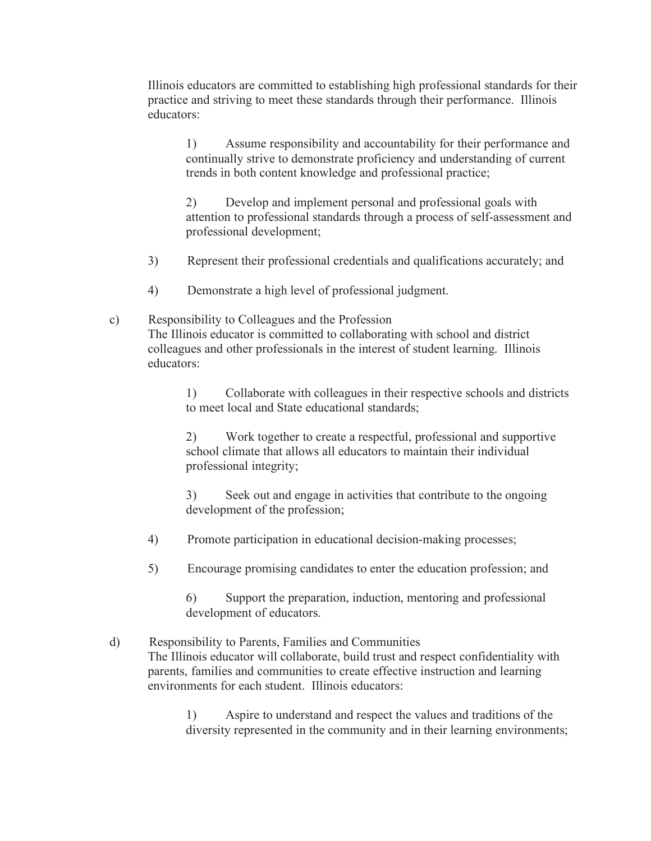Illinois educators are committed to establishing high professional standards for their practice and striving to meet these standards through their performance. Illinois educators:

1) Assume responsibility and accountability for their performance and continually strive to demonstrate proficiency and understanding of current trends in both content knowledge and professional practice;

2) Develop and implement personal and professional goals with attention to professional standards through a process of self-assessment and professional development;

- 3) Represent their professional credentials and qualifications accurately; and
- 4) Demonstrate a high level of professional judgment.
- c) Responsibility to Colleagues and the Profession The Illinois educator is committed to collaborating with school and district colleagues and other professionals in the interest of student learning. Illinois educators:

1) Collaborate with colleagues in their respective schools and districts to meet local and State educational standards;

2) Work together to create a respectful, professional and supportive school climate that allows all educators to maintain their individual professional integrity;

3) Seek out and engage in activities that contribute to the ongoing development of the profession;

- 4) Promote participation in educational decision-making processes;
- 5) Encourage promising candidates to enter the education profession; and

6) Support the preparation, induction, mentoring and professional development of educators.

d) Responsibility to Parents, Families and Communities The Illinois educator will collaborate, build trust and respect confidentiality with parents, families and communities to create effective instruction and learning environments for each student. Illinois educators:

> 1) Aspire to understand and respect the values and traditions of the diversity represented in the community and in their learning environments;